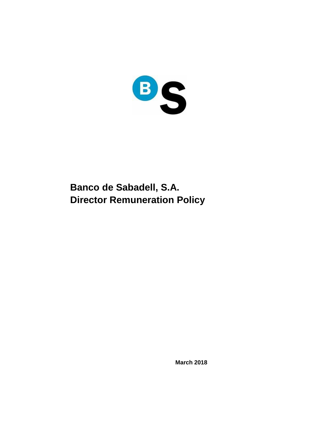

# **Banco de Sabadell, S.A. Director Remuneration Policy**

**March 2018**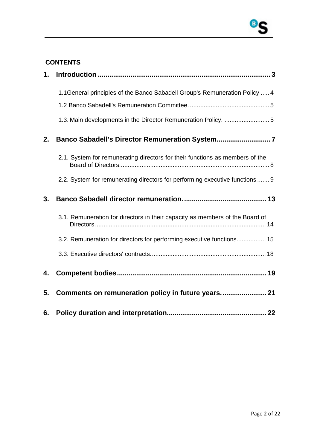

### **CONTENTS**

| 1. |                                                                              |
|----|------------------------------------------------------------------------------|
|    | 1.1 General principles of the Banco Sabadell Group's Remuneration Policy  4  |
|    |                                                                              |
|    | 1.3. Main developments in the Director Remuneration Policy. 5                |
| 2. |                                                                              |
|    | 2.1. System for remunerating directors for their functions as members of the |
|    | 2.2. System for remunerating directors for performing executive functions  9 |
| 3. |                                                                              |
|    | 3.1. Remuneration for directors in their capacity as members of the Board of |
|    | 3.2. Remuneration for directors for performing executive functions 15        |
|    |                                                                              |
| 4. |                                                                              |
| 5. | Comments on remuneration policy in future years 21                           |
| 6. |                                                                              |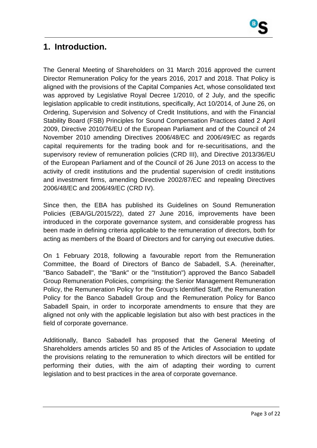

# **1. Introduction.**

The General Meeting of Shareholders on 31 March 2016 approved the current Director Remuneration Policy for the years 2016, 2017 and 2018. That Policy is aligned with the provisions of the Capital Companies Act, whose consolidated text was approved by Legislative Royal Decree 1/2010, of 2 July, and the specific legislation applicable to credit institutions, specifically, Act 10/2014, of June 26, on Ordering, Supervision and Solvency of Credit Institutions, and with the Financial Stability Board (FSB) Principles for Sound Compensation Practices dated 2 April 2009, Directive 2010/76/EU of the European Parliament and of the Council of 24 November 2010 amending Directives 2006/48/EC and 2006/49/EC as regards capital requirements for the trading book and for re-securitisations, and the supervisory review of remuneration policies (CRD III), and Directive 2013/36/EU of the European Parliament and of the Council of 26 June 2013 on access to the activity of credit institutions and the prudential supervision of credit institutions and investment firms, amending Directive 2002/87/EC and repealing Directives 2006/48/EC and 2006/49/EC (CRD IV).

Since then, the EBA has published its Guidelines on Sound Remuneration Policies (EBA/GL/2015/22), dated 27 June 2016, improvements have been introduced in the corporate governance system, and considerable progress has been made in defining criteria applicable to the remuneration of directors, both for acting as members of the Board of Directors and for carrying out executive duties.

On 1 February 2018, following a favourable report from the Remuneration Committee, the Board of Directors of Banco de Sabadell, S.A. (hereinafter, "Banco Sabadell", the "Bank" or the "Institution") approved the Banco Sabadell Group Remuneration Policies, comprising: the Senior Management Remuneration Policy, the Remuneration Policy for the Group's Identified Staff, the Remuneration Policy for the Banco Sabadell Group and the Remuneration Policy for Banco Sabadell Spain, in order to incorporate amendments to ensure that they are aligned not only with the applicable legislation but also with best practices in the field of corporate governance.

Additionally, Banco Sabadell has proposed that the General Meeting of Shareholders amends articles 50 and 85 of the Articles of Association to update the provisions relating to the remuneration to which directors will be entitled for performing their duties, with the aim of adapting their wording to current legislation and to best practices in the area of corporate governance.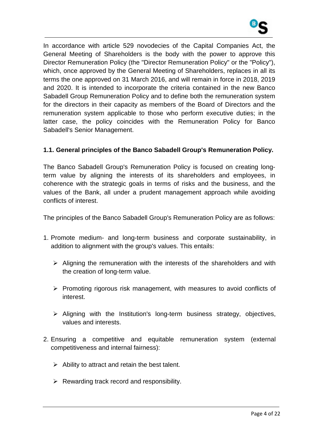

In accordance with article 529 novodecies of the Capital Companies Act, the General Meeting of Shareholders is the body with the power to approve this Director Remuneration Policy (the "Director Remuneration Policy" or the "Policy"), which, once approved by the General Meeting of Shareholders, replaces in all its terms the one approved on 31 March 2016, and will remain in force in 2018, 2019 and 2020. It is intended to incorporate the criteria contained in the new Banco Sabadell Group Remuneration Policy and to define both the remuneration system for the directors in their capacity as members of the Board of Directors and the remuneration system applicable to those who perform executive duties; in the latter case, the policy coincides with the Remuneration Policy for Banco Sabadell's Senior Management.

### **1.1. General principles of the Banco Sabadell Group's Remuneration Policy.**

The Banco Sabadell Group's Remuneration Policy is focused on creating longterm value by aligning the interests of its shareholders and employees, in coherence with the strategic goals in terms of risks and the business, and the values of the Bank, all under a prudent management approach while avoiding conflicts of interest.

The principles of the Banco Sabadell Group's Remuneration Policy are as follows:

- 1. Promote medium- and long-term business and corporate sustainability, in addition to alignment with the group's values. This entails:
	- $\triangleright$  Aligning the remuneration with the interests of the shareholders and with the creation of long-term value.
	- $\triangleright$  Promoting rigorous risk management, with measures to avoid conflicts of interest.
	- $\triangleright$  Aligning with the Institution's long-term business strategy, objectives, values and interests.
- 2. Ensuring a competitive and equitable remuneration system (external competitiveness and internal fairness):
	- $\triangleright$  Ability to attract and retain the best talent.
	- $\triangleright$  Rewarding track record and responsibility.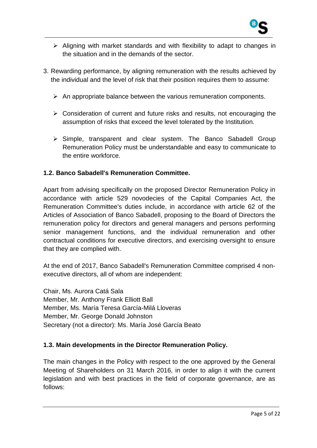

- $\triangleright$  Aligning with market standards and with flexibility to adapt to changes in the situation and in the demands of the sector.
- 3. Rewarding performance, by aligning remuneration with the results achieved by the individual and the level of risk that their position requires them to assume:
	- $\triangleright$  An appropriate balance between the various remuneration components.
	- $\triangleright$  Consideration of current and future risks and results, not encouraging the assumption of risks that exceed the level tolerated by the Institution.
	- $\triangleright$  Simple, transparent and clear system. The Banco Sabadell Group Remuneration Policy must be understandable and easy to communicate to the entire workforce.

### **1.2. Banco Sabadell's Remuneration Committee.**

Apart from advising specifically on the proposed Director Remuneration Policy in accordance with article 529 novodecies of the Capital Companies Act, the Remuneration Committee's duties include, in accordance with article 62 of the Articles of Association of Banco Sabadell, proposing to the Board of Directors the remuneration policy for directors and general managers and persons performing senior management functions, and the individual remuneration and other contractual conditions for executive directors, and exercising oversight to ensure that they are complied with.

At the end of 2017, Banco Sabadell's Remuneration Committee comprised 4 nonexecutive directors, all of whom are independent:

Chair, Ms. Aurora Catá Sala Member, Mr. Anthony Frank Elliott Ball Member, Ms. María Teresa García-Milá Lloveras Member, Mr. George Donald Johnston Secretary (not a director): Ms. María José García Beato

### **1.3. Main developments in the Director Remuneration Policy.**

The main changes in the Policy with respect to the one approved by the General Meeting of Shareholders on 31 March 2016, in order to align it with the current legislation and with best practices in the field of corporate governance, are as follows: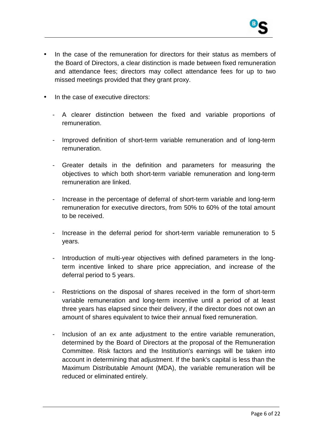

- In the case of the remuneration for directors for their status as members of the Board of Directors, a clear distinction is made between fixed remuneration and attendance fees; directors may collect attendance fees for up to two missed meetings provided that they grant proxy.
- In the case of executive directors:
	- A clearer distinction between the fixed and variable proportions of remuneration.
	- Improved definition of short-term variable remuneration and of long-term remuneration.
	- Greater details in the definition and parameters for measuring the objectives to which both short-term variable remuneration and long-term remuneration are linked.
	- Increase in the percentage of deferral of short-term variable and long-term remuneration for executive directors, from 50% to 60% of the total amount to be received.
	- Increase in the deferral period for short-term variable remuneration to 5 years.
	- Introduction of multi-year objectives with defined parameters in the longterm incentive linked to share price appreciation, and increase of the deferral period to 5 years.
	- Restrictions on the disposal of shares received in the form of short-term variable remuneration and long-term incentive until a period of at least three years has elapsed since their delivery, if the director does not own an amount of shares equivalent to twice their annual fixed remuneration.
	- Inclusion of an ex ante adjustment to the entire variable remuneration, determined by the Board of Directors at the proposal of the Remuneration Committee. Risk factors and the Institution's earnings will be taken into account in determining that adjustment. If the bank's capital is less than the Maximum Distributable Amount (MDA), the variable remuneration will be reduced or eliminated entirely.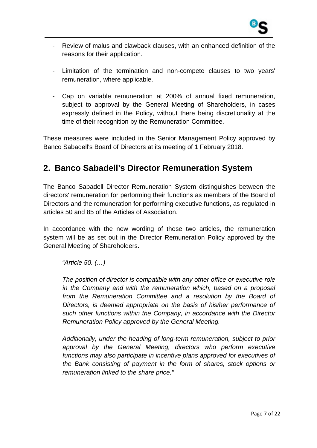

- Review of malus and clawback clauses, with an enhanced definition of the reasons for their application.
- Limitation of the termination and non-compete clauses to two years' remuneration, where applicable.
- Cap on variable remuneration at 200% of annual fixed remuneration, subject to approval by the General Meeting of Shareholders, in cases expressly defined in the Policy, without there being discretionality at the time of their recognition by the Remuneration Committee.

These measures were included in the Senior Management Policy approved by Banco Sabadell's Board of Directors at its meeting of 1 February 2018.

# **2. Banco Sabadell's Director Remuneration System**

The Banco Sabadell Director Remuneration System distinguishes between the directors' remuneration for performing their functions as members of the Board of Directors and the remuneration for performing executive functions, as regulated in articles 50 and 85 of the Articles of Association.

In accordance with the new wording of those two articles, the remuneration system will be as set out in the Director Remuneration Policy approved by the General Meeting of Shareholders.

"Article 50. (…)

The position of director is compatible with any other office or executive role in the Company and with the remuneration which, based on a proposal from the Remuneration Committee and a resolution by the Board of Directors, is deemed appropriate on the basis of his/her performance of such other functions within the Company, in accordance with the Director Remuneration Policy approved by the General Meeting.

Additionally, under the heading of long-term remuneration, subject to prior approval by the General Meeting, directors who perform executive functions may also participate in incentive plans approved for executives of the Bank consisting of payment in the form of shares, stock options or remuneration linked to the share price."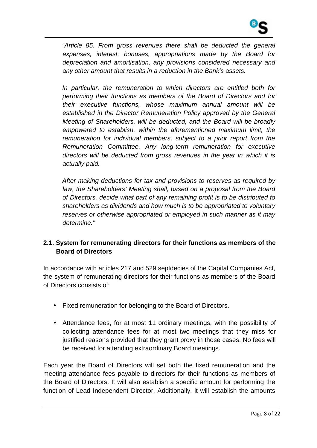

"Article 85. From gross revenues there shall be deducted the general expenses, interest, bonuses, appropriations made by the Board for depreciation and amortisation, any provisions considered necessary and any other amount that results in a reduction in the Bank's assets.

In particular, the remuneration to which directors are entitled both for performing their functions as members of the Board of Directors and for their executive functions, whose maximum annual amount will be established in the Director Remuneration Policy approved by the General Meeting of Shareholders, will be deducted, and the Board will be broadly empowered to establish, within the aforementioned maximum limit, the remuneration for individual members, subject to a prior report from the Remuneration Committee. Any long-term remuneration for executive directors will be deducted from gross revenues in the year in which it is actually paid.

After making deductions for tax and provisions to reserves as required by law, the Shareholders' Meeting shall, based on a proposal from the Board of Directors, decide what part of any remaining profit is to be distributed to shareholders as dividends and how much is to be appropriated to voluntary reserves or otherwise appropriated or employed in such manner as it may determine."

### **2.1. System for remunerating directors for their functions as members of the Board of Directors**

In accordance with articles 217 and 529 septdecies of the Capital Companies Act, the system of remunerating directors for their functions as members of the Board of Directors consists of:

- Fixed remuneration for belonging to the Board of Directors.
- Attendance fees, for at most 11 ordinary meetings, with the possibility of collecting attendance fees for at most two meetings that they miss for justified reasons provided that they grant proxy in those cases. No fees will be received for attending extraordinary Board meetings.

Each year the Board of Directors will set both the fixed remuneration and the meeting attendance fees payable to directors for their functions as members of the Board of Directors. It will also establish a specific amount for performing the function of Lead Independent Director. Additionally, it will establish the amounts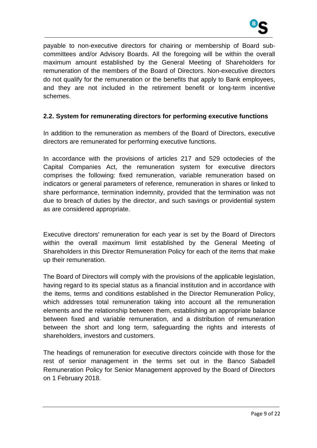

payable to non-executive directors for chairing or membership of Board subcommittees and/or Advisory Boards. All the foregoing will be within the overall maximum amount established by the General Meeting of Shareholders for remuneration of the members of the Board of Directors. Non-executive directors do not qualify for the remuneration or the benefits that apply to Bank employees, and they are not included in the retirement benefit or long-term incentive schemes.

### **2.2. System for remunerating directors for performing executive functions**

In addition to the remuneration as members of the Board of Directors, executive directors are remunerated for performing executive functions.

In accordance with the provisions of articles 217 and 529 octodecies of the Capital Companies Act, the remuneration system for executive directors comprises the following: fixed remuneration, variable remuneration based on indicators or general parameters of reference, remuneration in shares or linked to share performance, termination indemnity, provided that the termination was not due to breach of duties by the director, and such savings or providential system as are considered appropriate.

Executive directors' remuneration for each year is set by the Board of Directors within the overall maximum limit established by the General Meeting of Shareholders in this Director Remuneration Policy for each of the items that make up their remuneration.

The Board of Directors will comply with the provisions of the applicable legislation, having regard to its special status as a financial institution and in accordance with the items, terms and conditions established in the Director Remuneration Policy, which addresses total remuneration taking into account all the remuneration elements and the relationship between them, establishing an appropriate balance between fixed and variable remuneration, and a distribution of remuneration between the short and long term, safeguarding the rights and interests of shareholders, investors and customers.

The headings of remuneration for executive directors coincide with those for the rest of senior management in the terms set out in the Banco Sabadell Remuneration Policy for Senior Management approved by the Board of Directors on 1 February 2018.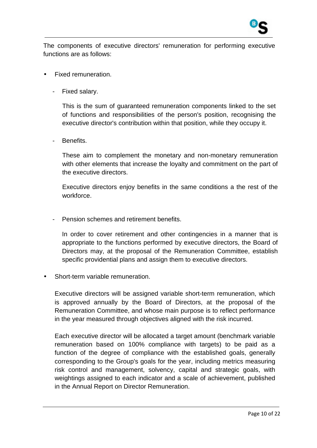

The components of executive directors' remuneration for performing executive functions are as follows:

- Fixed remuneration.
	- Fixed salary.

This is the sum of guaranteed remuneration components linked to the set of functions and responsibilities of the person's position, recognising the executive director's contribution within that position, while they occupy it.

Benefits.

These aim to complement the monetary and non-monetary remuneration with other elements that increase the loyalty and commitment on the part of the executive directors.

Executive directors enjoy benefits in the same conditions a the rest of the workforce.

Pension schemes and retirement benefits.

In order to cover retirement and other contingencies in a manner that is appropriate to the functions performed by executive directors, the Board of Directors may, at the proposal of the Remuneration Committee, establish specific providential plans and assign them to executive directors.

• Short-term variable remuneration.

Executive directors will be assigned variable short-term remuneration, which is approved annually by the Board of Directors, at the proposal of the Remuneration Committee, and whose main purpose is to reflect performance in the year measured through objectives aligned with the risk incurred.

Each executive director will be allocated a target amount (benchmark variable remuneration based on 100% compliance with targets) to be paid as a function of the degree of compliance with the established goals, generally corresponding to the Group's goals for the year, including metrics measuring risk control and management, solvency, capital and strategic goals, with weightings assigned to each indicator and a scale of achievement, published in the Annual Report on Director Remuneration.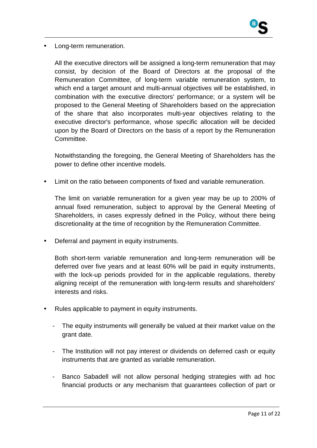

• Long-term remuneration.

All the executive directors will be assigned a long-term remuneration that may consist, by decision of the Board of Directors at the proposal of the Remuneration Committee, of long-term variable remuneration system, to which end a target amount and multi-annual objectives will be established, in combination with the executive directors' performance; or a system will be proposed to the General Meeting of Shareholders based on the appreciation of the share that also incorporates multi-year objectives relating to the executive director's performance, whose specific allocation will be decided upon by the Board of Directors on the basis of a report by the Remuneration Committee.

Notwithstanding the foregoing, the General Meeting of Shareholders has the power to define other incentive models.

Limit on the ratio between components of fixed and variable remuneration.

The limit on variable remuneration for a given year may be up to 200% of annual fixed remuneration, subject to approval by the General Meeting of Shareholders, in cases expressly defined in the Policy, without there being discretionality at the time of recognition by the Remuneration Committee.

• Deferral and payment in equity instruments.

Both short-term variable remuneration and long-term remuneration will be deferred over five years and at least 60% will be paid in equity instruments, with the lock-up periods provided for in the applicable regulations, thereby aligning receipt of the remuneration with long-term results and shareholders' interests and risks.

- Rules applicable to payment in equity instruments.
	- The equity instruments will generally be valued at their market value on the grant date.
	- The Institution will not pay interest or dividends on deferred cash or equity instruments that are granted as variable remuneration.
	- Banco Sabadell will not allow personal hedging strategies with ad hoc financial products or any mechanism that guarantees collection of part or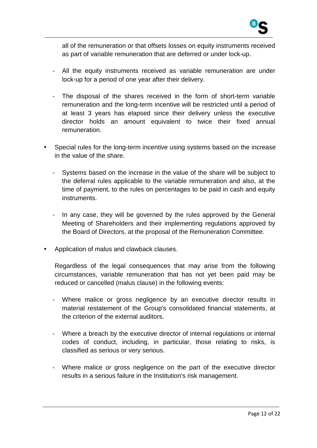

all of the remuneration or that offsets losses on equity instruments received as part of variable remuneration that are deferred or under lock-up.

- All the equity instruments received as variable remuneration are under lock-up for a period of one year after their delivery.
- The disposal of the shares received in the form of short-term variable remuneration and the long-term incentive will be restricted until a period of at least 3 years has elapsed since their delivery unless the executive director holds an amount equivalent to twice their fixed annual remuneration.
- Special rules for the long-term incentive using systems based on the increase in the value of the share.
	- Systems based on the increase in the value of the share will be subject to the deferral rules applicable to the variable remuneration and also, at the time of payment, to the rules on percentages to be paid in cash and equity instruments.
	- In any case, they will be governed by the rules approved by the General Meeting of Shareholders and their implementing regulations approved by the Board of Directors, at the proposal of the Remuneration Committee.
- Application of malus and clawback clauses.

Regardless of the legal consequences that may arise from the following circumstances, variable remuneration that has not yet been paid may be reduced or cancelled (malus clause) in the following events:

- Where malice or gross negligence by an executive director results in material restatement of the Group's consolidated financial statements, at the criterion of the external auditors.
- Where a breach by the executive director of internal regulations or internal codes of conduct, including, in particular, those relating to risks, is classified as serious or very serious.
- Where malice or gross negligence on the part of the executive director results in a serious failure in the Institution's risk management.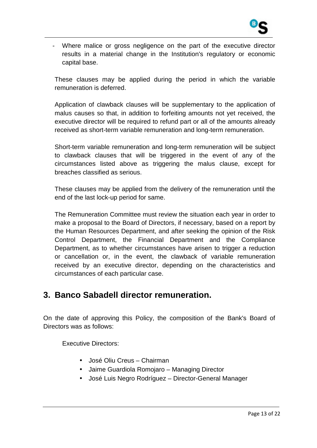

Where malice or gross negligence on the part of the executive director results in a material change in the Institution's regulatory or economic capital base.

These clauses may be applied during the period in which the variable remuneration is deferred.

Application of clawback clauses will be supplementary to the application of malus causes so that, in addition to forfeiting amounts not yet received, the executive director will be required to refund part or all of the amounts already received as short-term variable remuneration and long-term remuneration.

Short-term variable remuneration and long-term remuneration will be subject to clawback clauses that will be triggered in the event of any of the circumstances listed above as triggering the malus clause, except for breaches classified as serious.

These clauses may be applied from the delivery of the remuneration until the end of the last lock-up period for same.

The Remuneration Committee must review the situation each year in order to make a proposal to the Board of Directors, if necessary, based on a report by the Human Resources Department, and after seeking the opinion of the Risk Control Department, the Financial Department and the Compliance Department, as to whether circumstances have arisen to trigger a reduction or cancellation or, in the event, the clawback of variable remuneration received by an executive director, depending on the characteristics and circumstances of each particular case.

### **3. Banco Sabadell director remuneration.**

On the date of approving this Policy, the composition of the Bank's Board of Directors was as follows:

Executive Directors:

- José Oliu Creus Chairman
- Jaime Guardiola Romojaro Managing Director
- José Luis Negro Rodríguez Director-General Manager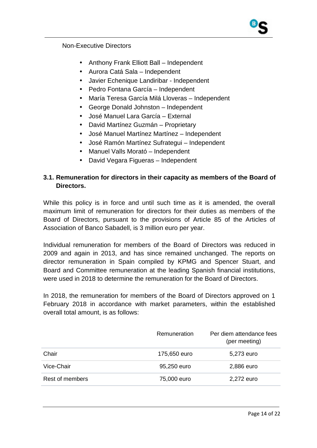### Non-Executive Directors

- Anthony Frank Elliott Ball Independent
- Aurora Catá Sala Independent
- Javier Echenique Landiribar Independent
- Pedro Fontana García Independent
- María Teresa García Milá Lloveras Independent
- George Donald Johnston Independent
- José Manuel Lara García External
- David Martínez Guzmán Proprietary
- José Manuel Martínez Martínez Independent
- José Ramón Martínez Sufrategui Independent
- Manuel Valls Morató Independent
- David Vegara Figueras Independent

### **3.1. Remuneration for directors in their capacity as members of the Board of Directors.**

While this policy is in force and until such time as it is amended, the overall maximum limit of remuneration for directors for their duties as members of the Board of Directors, pursuant to the provisions of Article 85 of the Articles of Association of Banco Sabadell, is 3 million euro per year.

Individual remuneration for members of the Board of Directors was reduced in 2009 and again in 2013, and has since remained unchanged. The reports on director remuneration in Spain compiled by KPMG and Spencer Stuart, and Board and Committee remuneration at the leading Spanish financial institutions, were used in 2018 to determine the remuneration for the Board of Directors.

In 2018, the remuneration for members of the Board of Directors approved on 1 February 2018 in accordance with market parameters, within the established overall total amount, is as follows:

|                 | Remuneration | Per diem attendance fees<br>(per meeting) |
|-----------------|--------------|-------------------------------------------|
| Chair           | 175,650 euro | 5,273 euro                                |
| Vice-Chair      | 95,250 euro  | 2,886 euro                                |
| Rest of members | 75,000 euro  | 2,272 euro                                |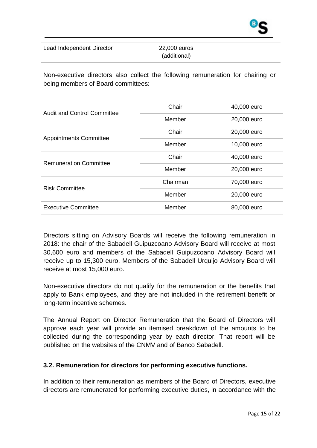Lead Independent Director 22,000 euros

Non-executive directors also collect the following remuneration for chairing or being members of Board committees:

| <b>Audit and Control Committee</b> | Chair    | 40,000 euro |
|------------------------------------|----------|-------------|
|                                    | Member   | 20,000 euro |
|                                    | Chair    | 20,000 euro |
| <b>Appointments Committee</b>      | Member   | 10,000 euro |
| <b>Remuneration Committee</b>      | Chair    | 40,000 euro |
|                                    | Member   | 20,000 euro |
| <b>Risk Committee</b>              | Chairman | 70,000 euro |
|                                    | Member   | 20,000 euro |
| <b>Executive Committee</b>         | Member   | 80,000 euro |

Directors sitting on Advisory Boards will receive the following remuneration in 2018: the chair of the Sabadell Guipuzcoano Advisory Board will receive at most 30,600 euro and members of the Sabadell Guipuzcoano Advisory Board will receive up to 15,300 euro. Members of the Sabadell Urquijo Advisory Board will receive at most 15,000 euro.

Non-executive directors do not qualify for the remuneration or the benefits that apply to Bank employees, and they are not included in the retirement benefit or long-term incentive schemes.

The Annual Report on Director Remuneration that the Board of Directors will approve each year will provide an itemised breakdown of the amounts to be collected during the corresponding year by each director. That report will be published on the websites of the CNMV and of Banco Sabadell.

### **3.2. Remuneration for directors for performing executive functions.**

In addition to their remuneration as members of the Board of Directors, executive directors are remunerated for performing executive duties, in accordance with the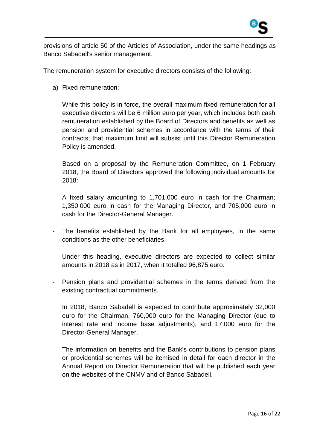

provisions of article 50 of the Articles of Association, under the same headings as Banco Sabadell's senior management.

The remuneration system for executive directors consists of the following:

a) Fixed remuneration:

While this policy is in force, the overall maximum fixed remuneration for all executive directors will be 6 million euro per year, which includes both cash remuneration established by the Board of Directors and benefits as well as pension and providential schemes in accordance with the terms of their contracts; that maximum limit will subsist until this Director Remuneration Policy is amended.

Based on a proposal by the Remuneration Committee, on 1 February 2018, the Board of Directors approved the following individual amounts for 2018:

- A fixed salary amounting to 1,701,000 euro in cash for the Chairman; 1,350,000 euro in cash for the Managing Director, and 705,000 euro in cash for the Director-General Manager.
- The benefits established by the Bank for all employees, in the same conditions as the other beneficiaries.

Under this heading, executive directors are expected to collect similar amounts in 2018 as in 2017, when it totalled 96,875 euro.

- Pension plans and providential schemes in the terms derived from the existing contractual commitments.

In 2018, Banco Sabadell is expected to contribute approximately 32,000 euro for the Chairman, 760,000 euro for the Managing Director (due to interest rate and income base adjustments), and 17,000 euro for the Director-General Manager.

The information on benefits and the Bank's contributions to pension plans or providential schemes will be itemised in detail for each director in the Annual Report on Director Remuneration that will be published each year on the websites of the CNMV and of Banco Sabadell.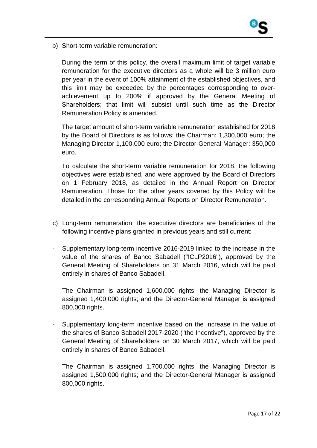

b) Short-term variable remuneration:

During the term of this policy, the overall maximum limit of target variable remuneration for the executive directors as a whole will be 3 million euro per year in the event of 100% attainment of the established objectives, and this limit may be exceeded by the percentages corresponding to overachievement up to 200% if approved by the General Meeting of Shareholders; that limit will subsist until such time as the Director Remuneration Policy is amended.

The target amount of short-term variable remuneration established for 2018 by the Board of Directors is as follows: the Chairman: 1,300,000 euro; the Managing Director 1,100,000 euro; the Director-General Manager: 350,000 euro.

To calculate the short-term variable remuneration for 2018, the following objectives were established, and were approved by the Board of Directors on 1 February 2018, as detailed in the Annual Report on Director Remuneration. Those for the other years covered by this Policy will be detailed in the corresponding Annual Reports on Director Remuneration.

- c) Long-term remuneration: the executive directors are beneficiaries of the following incentive plans granted in previous years and still current:
- Supplementary long-term incentive 2016-2019 linked to the increase in the value of the shares of Banco Sabadell ("ICLP2016"), approved by the General Meeting of Shareholders on 31 March 2016, which will be paid entirely in shares of Banco Sabadell.

The Chairman is assigned 1,600,000 rights; the Managing Director is assigned 1,400,000 rights; and the Director-General Manager is assigned 800,000 rights.

- Supplementary long-term incentive based on the increase in the value of the shares of Banco Sabadell 2017-2020 ("the Incentive"), approved by the General Meeting of Shareholders on 30 March 2017, which will be paid entirely in shares of Banco Sabadell.

The Chairman is assigned 1,700,000 rights; the Managing Director is assigned 1,500,000 rights; and the Director-General Manager is assigned 800,000 rights.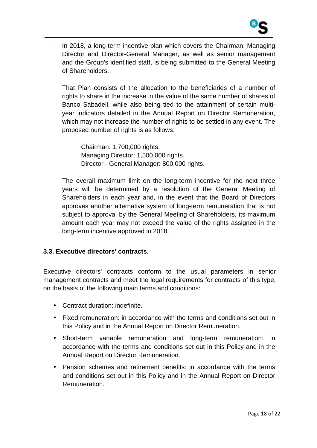

In 2018, a long-term incentive plan which covers the Chairman, Managing Director and Director-General Manager, as well as senior management and the Group's identified staff, is being submitted to the General Meeting of Shareholders.

That Plan consists of the allocation to the beneficiaries of a number of rights to share in the increase in the value of the same number of shares of Banco Sabadell, while also being tied to the attainment of certain multiyear indicators detailed in the Annual Report on Director Remuneration, which may not increase the number of rights to be settled in any event. The proposed number of rights is as follows:

Chairman: 1,700,000 rights. Managing Director: 1,500,000 rights. Director - General Manager: 800,000 rights.

The overall maximum limit on the long-term incentive for the next three years will be determined by a resolution of the General Meeting of Shareholders in each year and, in the event that the Board of Directors approves another alternative system of long-term remuneration that is not subject to approval by the General Meeting of Shareholders, its maximum amount each year may not exceed the value of the rights assigned in the long-term incentive approved in 2018.

### **3.3. Executive directors' contracts.**

Executive directors' contracts conform to the usual parameters in senior management contracts and meet the legal requirements for contracts of this type, on the basis of the following main terms and conditions:

- Contract duration: indefinite.
- Fixed remuneration: in accordance with the terms and conditions set out in this Policy and in the Annual Report on Director Remuneration.
- Short-term variable remuneration and long-term remuneration: in accordance with the terms and conditions set out in this Policy and in the Annual Report on Director Remuneration.
- Pension schemes and retirement benefits: in accordance with the terms and conditions set out in this Policy and in the Annual Report on Director Remuneration.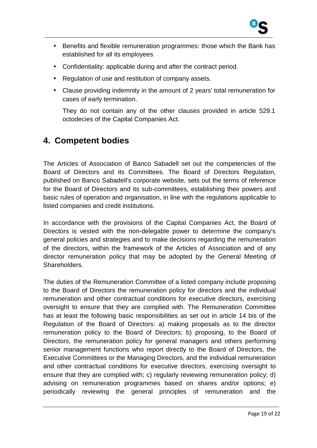

- Benefits and flexible remuneration programmes: those which the Bank has established for all its employees
- Confidentiality: applicable during and after the contract period.
- Regulation of use and restitution of company assets.
- Clause providing indemnity in the amount of 2 years' total remuneration for cases of early termination.

They do not contain any of the other clauses provided in article 529.1 octodecies of the Capital Companies Act.

# **4. Competent bodies**

The Articles of Association of Banco Sabadell set out the competencies of the Board of Directors and its Committees. The Board of Directors Regulation, published on Banco Sabadell's corporate website, sets out the terms of reference for the Board of Directors and its sub-committees, establishing their powers and basic rules of operation and organisation, in line with the regulations applicable to listed companies and credit institutions.

In accordance with the provisions of the Capital Companies Act, the Board of Directors is vested with the non-delegable power to determine the company's general policies and strategies and to make decisions regarding the remuneration of the directors, within the framework of the Articles of Association and of any director remuneration policy that may be adopted by the General Meeting of Shareholders.

The duties of the Remuneration Committee of a listed company include proposing to the Board of Directors the remuneration policy for directors and the individual remuneration and other contractual conditions for executive directors, exercising oversight to ensure that they are complied with. The Remuneration Committee has at least the following basic responsibilities as set out in article 14 bis of the Regulation of the Board of Directors: a) making proposals as to the director remuneration policy to the Board of Directors; b) proposing, to the Board of Directors, the remuneration policy for general managers and others performing senior management functions who report directly to the Board of Directors, the Executive Committees or the Managing Directors, and the individual remuneration and other contractual conditions for executive directors, exercising oversight to ensure that they are complied with; c) regularly reviewing remuneration policy; d) advising on remuneration programmes based on shares and/or options; e) periodically reviewing the general principles of remuneration and the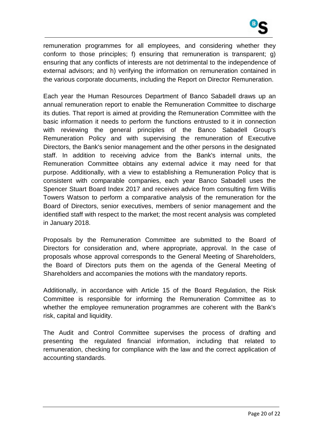

remuneration programmes for all employees, and considering whether they conform to those principles; f) ensuring that remuneration is transparent; g) ensuring that any conflicts of interests are not detrimental to the independence of external advisors; and h) verifying the information on remuneration contained in the various corporate documents, including the Report on Director Remuneration.

Each year the Human Resources Department of Banco Sabadell draws up an annual remuneration report to enable the Remuneration Committee to discharge its duties. That report is aimed at providing the Remuneration Committee with the basic information it needs to perform the functions entrusted to it in connection with reviewing the general principles of the Banco Sabadell Group's Remuneration Policy and with supervising the remuneration of Executive Directors, the Bank's senior management and the other persons in the designated staff. In addition to receiving advice from the Bank's internal units, the Remuneration Committee obtains any external advice it may need for that purpose. Additionally, with a view to establishing a Remuneration Policy that is consistent with comparable companies, each year Banco Sabadell uses the Spencer Stuart Board Index 2017 and receives advice from consulting firm Willis Towers Watson to perform a comparative analysis of the remuneration for the Board of Directors, senior executives, members of senior management and the identified staff with respect to the market; the most recent analysis was completed in January 2018.

Proposals by the Remuneration Committee are submitted to the Board of Directors for consideration and, where appropriate, approval. In the case of proposals whose approval corresponds to the General Meeting of Shareholders, the Board of Directors puts them on the agenda of the General Meeting of Shareholders and accompanies the motions with the mandatory reports.

Additionally, in accordance with Article 15 of the Board Regulation, the Risk Committee is responsible for informing the Remuneration Committee as to whether the employee remuneration programmes are coherent with the Bank's risk, capital and liquidity.

The Audit and Control Committee supervises the process of drafting and presenting the regulated financial information, including that related to remuneration, checking for compliance with the law and the correct application of accounting standards.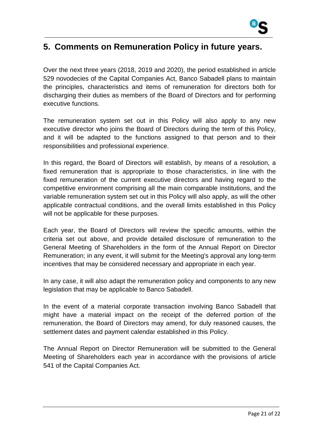

# **5. Comments on Remuneration Policy in future years.**

Over the next three years (2018, 2019 and 2020), the period established in article 529 novodecies of the Capital Companies Act, Banco Sabadell plans to maintain the principles, characteristics and items of remuneration for directors both for discharging their duties as members of the Board of Directors and for performing executive functions.

The remuneration system set out in this Policy will also apply to any new executive director who joins the Board of Directors during the term of this Policy, and it will be adapted to the functions assigned to that person and to their responsibilities and professional experience.

In this regard, the Board of Directors will establish, by means of a resolution, a fixed remuneration that is appropriate to those characteristics, in line with the fixed remuneration of the current executive directors and having regard to the competitive environment comprising all the main comparable institutions, and the variable remuneration system set out in this Policy will also apply, as will the other applicable contractual conditions, and the overall limits established in this Policy will not be applicable for these purposes.

Each year, the Board of Directors will review the specific amounts, within the criteria set out above, and provide detailed disclosure of remuneration to the General Meeting of Shareholders in the form of the Annual Report on Director Remuneration; in any event, it will submit for the Meeting's approval any long-term incentives that may be considered necessary and appropriate in each year.

In any case, it will also adapt the remuneration policy and components to any new legislation that may be applicable to Banco Sabadell.

In the event of a material corporate transaction involving Banco Sabadell that might have a material impact on the receipt of the deferred portion of the remuneration, the Board of Directors may amend, for duly reasoned causes, the settlement dates and payment calendar established in this Policy.

The Annual Report on Director Remuneration will be submitted to the General Meeting of Shareholders each year in accordance with the provisions of article 541 of the Capital Companies Act.